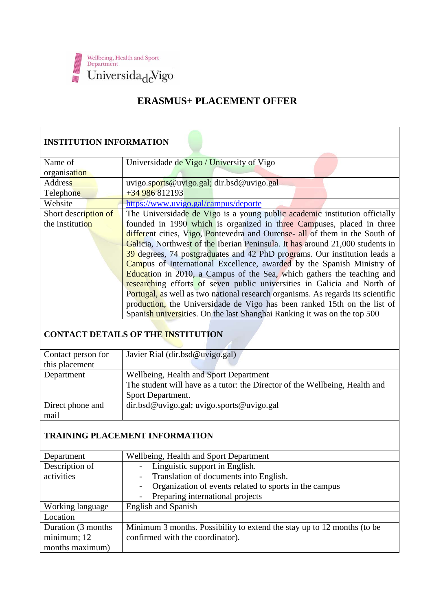

## **ERASMUS+ PLACEMENT OFFER**

## **INSTITUTION INFORMATION**

| Name of              | Universidade de Vigo / University of Vigo                                       |
|----------------------|---------------------------------------------------------------------------------|
| organisation         |                                                                                 |
| Address              | uvigo.sports@uvigo.gal; dir.bsd@uvigo.gal                                       |
| Telephone            | $+34986812193$                                                                  |
| Website              | https://www.uvigo.gal/campus/deporte                                            |
| Short description of | The Universidade de Vigo is a young public academic institution officially      |
| the institution      | founded in 1990 which is organized in three Campuses, placed in three           |
|                      | different cities, Vigo, Pontevedra and Ourense- all of them in the South of     |
|                      | Galicia, Northwest of the Iberian Peninsula. It has around 21,000 students in   |
|                      | 39 degrees, 74 postgraduates and 42 PhD programs. Our institution leads a       |
|                      | Campus of International Excellence, awarded by the Spanish Ministry of          |
|                      | <b>Education</b> in 2010, a Campus of the Sea, which gathers the teaching and   |
|                      | researching efforts of seven public universities in Galicia and North of        |
|                      | Portugal, as well as two national research organisms. As regards its scientific |
|                      | production, the Universidade de Vigo has been ranked 15th on the list of        |
|                      | Spanish universities. On the last Shanghai Ranking it was on the top 500        |

## **CONTACT DETAILS OF THE INSTITUTION**

| Contact person for | Javier Rial (dir.bsd@uvigo.gal)                                             |  |
|--------------------|-----------------------------------------------------------------------------|--|
| this placement     |                                                                             |  |
| Department         | Wellbeing, Health and Sport Department                                      |  |
|                    | The student will have as a tutor: the Director of the Wellbeing, Health and |  |
|                    | Sport Department.                                                           |  |
| Direct phone and   | dir.bsd@uvigo.gal; uvigo.sports@uvigo.gal                                   |  |
| mail               |                                                                             |  |
|                    |                                                                             |  |

### **TRAINING PLACEMENT INFORMATION**

| Department          | Wellbeing, Health and Sport Department                                  |
|---------------------|-------------------------------------------------------------------------|
| Description of      | Linguistic support in English.                                          |
| activities          | Translation of documents into English.                                  |
|                     | Organization of events related to sports in the campus                  |
|                     | Preparing international projects                                        |
| Working language    | <b>English and Spanish</b>                                              |
| Location            |                                                                         |
| Duration (3 months) | Minimum 3 months. Possibility to extend the stay up to 12 months (to be |
| minimum; 12         | confirmed with the coordinator).                                        |
| months maximum)     |                                                                         |